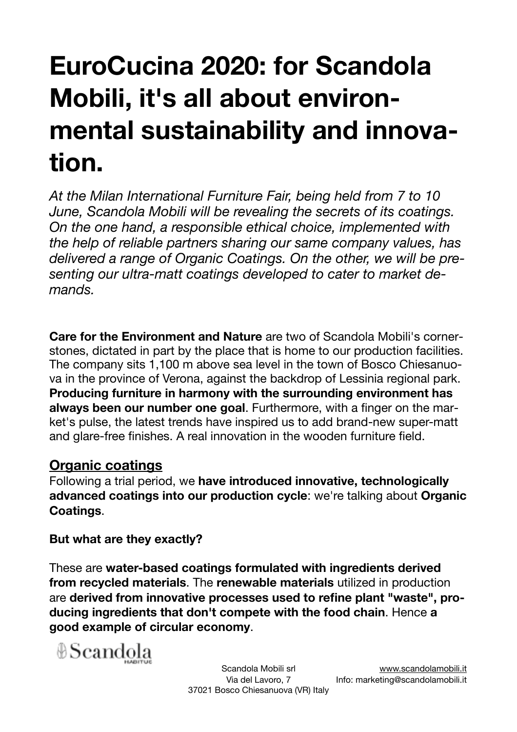## **EuroCucina 2020: for Scandola Mobili, it's all about environmental sustainability and innovation.**

*At the Milan International Furniture Fair, being held from 7 to 10 June, Scandola Mobili will be revealing the secrets of its coatings. On the one hand, a responsible ethical choice, implemented with the help of reliable partners sharing our same company values, has delivered a range of Organic Coatings. On the other, we will be presenting our ultra-matt coatings developed to cater to market demands.* 

**Care for the Environment and Nature** are two of Scandola Mobili's cornerstones, dictated in part by the place that is home to our production facilities. The company sits 1,100 m above sea level in the town of Bosco Chiesanuova in the province of Verona, against the backdrop of Lessinia regional park. **Producing furniture in harmony with the surrounding environment has always been our number one goal**. Furthermore, with a finger on the market's pulse, the latest trends have inspired us to add brand-new super-matt and glare-free finishes. A real innovation in the wooden furniture field.

## **Organic coatings**

Following a trial period, we **have introduced innovative, technologically advanced coatings into our production cycle**: we're talking about **Organic Coatings**.

## **But what are they exactly?**

These are **water-based coatings formulated with ingredients derived from recycled materials**. The **renewable materials** utilized in production are **derived from innovative processes used to refine plant "waste", producing ingredients that don't compete with the food chain**. Hence **a good example of circular economy**.

⊕Scandola